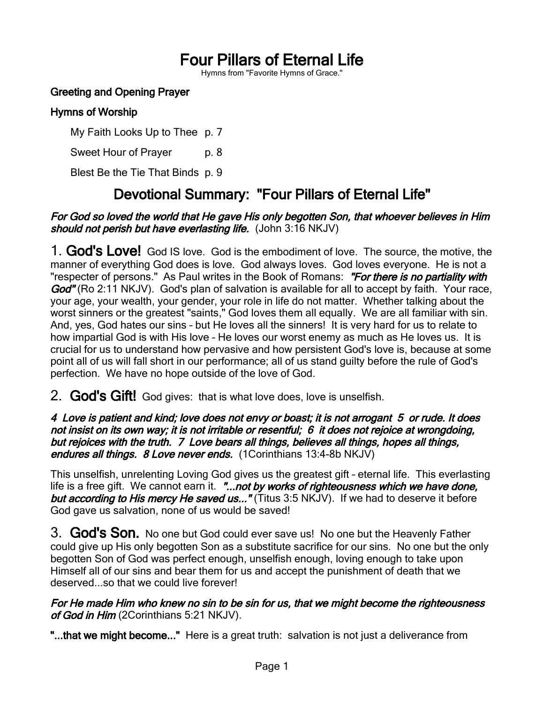# Four Pillars of Eternal Life

Hymns from "Favorite Hymns of Grace."

# Greeting and Opening Prayer

### Hymns of Worship

My Faith Looks Up to Thee p. 7

Sweet Hour of Prayer p. 8

Blest Be the Tie That Binds p. 9

# Devotional Summary: "Four Pillars of Eternal Life"

#### For God so loved the world that He gave His only begotten Son, that whoever believes in Him should not perish but have everlasting life. (John 3:16 NKJV)

1. God's Love! God IS love. God is the embodiment of love. The source, the motive, the manner of everything God does is love. God always loves. God loves everyone. He is not a "respecter of persons." As Paul writes in the Book of Romans: "For there is no partiality with God" (Ro 2:11 NKJV). God's plan of salvation is available for all to accept by faith. Your race, your age, your wealth, your gender, your role in life do not matter. Whether talking about the worst sinners or the greatest "saints," God loves them all equally. We are all familiar with sin. And, yes, God hates our sins – but He loves all the sinners! It is very hard for us to relate to how impartial God is with His love – He loves our worst enemy as much as He loves us. It is crucial for us to understand how pervasive and how persistent God's love is, because at some point all of us will fall short in our performance; all of us stand guilty before the rule of God's perfection. We have no hope outside of the love of God.

# 2. **God's Gift!** God gives: that is what love does, love is unselfish.

#### 4 Love is patient and kind; love does not envy or boast; it is not arrogant 5 or rude. It does not insist on its own way; it is not irritable or resentful; 6 it does not rejoice at wrongdoing, but rejoices with the truth. 7 Love bears all things, believes all things, hopes all things, endures all things. 8 Love never ends. (1 Corinthians 13:4-8b NKJV)

This unselfish, unrelenting Loving God gives us the greatest gift – eternal life. This everlasting life is a free gift. We cannot earn it. "...not by works of righteousness which we have done, but according to His mercy He saved us..." (Titus 3:5 NKJV). If we had to deserve it before God gave us salvation, none of us would be saved!

3. God's Son. No one but God could ever save us! No one but the Heavenly Father could give up His only begotten Son as a substitute sacrifice for our sins. No one but the only begotten Son of God was perfect enough, unselfish enough, loving enough to take upon Himself all of our sins and bear them for us and accept the punishment of death that we deserved...so that we could live forever!

#### For He made Him who knew no sin to be sin for us, that we might become the righteousness of God in Him (2Corinthians 5:21 NKJV).

"...that we might become..." Here is a great truth: salvation is not just a deliverance from